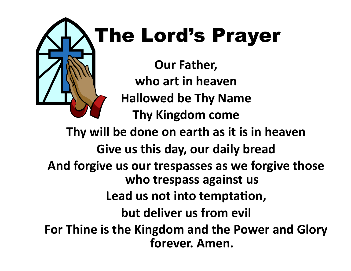## **Our Father,** who art in heaven **Hallowed be Thy Name Thy Kingdom come** The Lord's Prayer

Thy will be done on earth as it is in heaven Give us this day, our daily bread And forgive us our trespasses as we forgive those who trespass against us Lead us not into temptation, **but deliver us from evil** For Thine is the Kingdom and the Power and Glory forever. Amen.